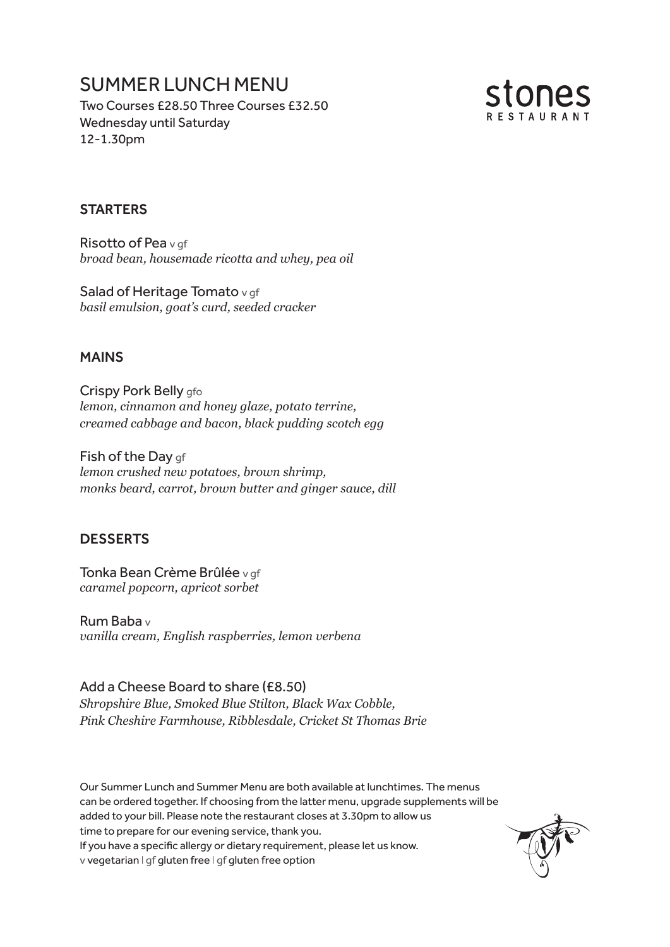# SUMMER LUNCH MENU

Two Courses £28.50 Three Courses £32.50 Wednesday until Saturday 12-1.30pm



### **STARTERS**

Risotto of Pea v qf *broad bean, housemade ricotta and whey, pea oil*

Salad of Heritage Tomato v gf *basil emulsion, goat's curd, seeded cracker*

#### MAINS

Crispy Pork Belly afo *lemon, cinnamon and honey glaze, potato terrine, creamed cabbage and bacon, black pudding scotch egg*

Fish of the Day gf *lemon crushed new potatoes, brown shrimp, monks beard, carrot, brown butter and ginger sauce, dill*

### DESSERTS

Tonka Bean Crème Brûlée v gf *caramel popcorn, apricot sorbet*

Rum Baba v *vanilla cream, English raspberries, lemon verbena*

#### Add a Cheese Board to share (£8.50)

*Shropshire Blue, Smoked Blue Stilton, Black Wax Cobble, Pink Cheshire Farmhouse, Ribblesdale, Cricket St Thomas Brie*

Our Summer Lunch and Summer Menu are both available at lunchtimes. The menus can be ordered together. If choosing from the latter menu, upgrade supplements will be added to your bill. Please note the restaurant closes at 3.30pm to allow us time to prepare for our evening service, thank you. If you have a specific allergy or dietary requirement, please let us know. v vegetarian I gf gluten free I gf gluten free option